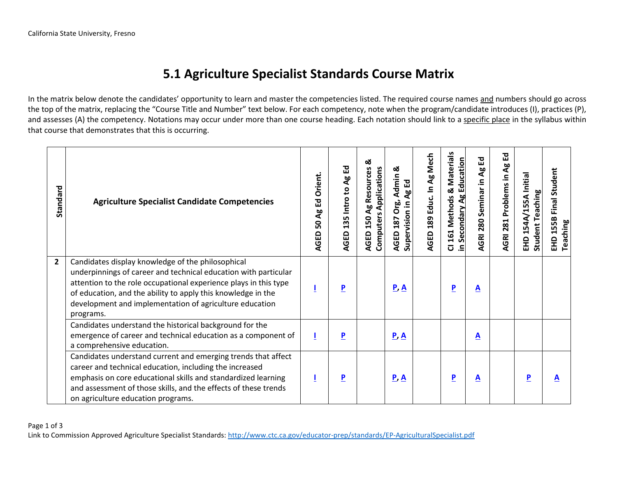## **5.1 Agriculture Specialist Standards Course Matrix**

In the matrix below denote the candidates' opportunity to learn and master the competencies listed. The required course names and numbers should go across the top of the matrix, replacing the "Course Title and Number" text below. For each competency, note when the program/candidate introduces (I), practices (P), and assesses (A) the competency. Notations may occur under more than one course heading. Each notation should link to a specific place in the syllabus within that course that demonstrates that this is occurring.

| Standard       | <b>Agriculture Specialist Candidate Competencies</b>                                                                                                                                                                                                                                                                             | Ed Orient.<br>$\mathbf{g}$<br>ន<br>AGED | 꼽<br><b>Ag</b><br>135 Intro to<br><b>AGED</b> | ఱ<br>Ag Resources<br><b>Computers Applications</b><br>150<br><b>AGED</b> | ಜ<br>Admin <sub>4</sub><br>Ag Ed<br>Org.<br>Supervision in<br>187<br>AGED | AGED 189 Educ. In Ag Mech | 161 Methods & Materials<br><b>Secondary Ag Education</b><br>$\overline{O}$<br>크. | AGRI 280 Seminar in Ag Ed | 집<br>AGRI 281 Problems in Ag | EHD 154A/155A Initial<br><b>Student Teaching</b> | Final Student<br>EHD 155B I<br>Teaching |
|----------------|----------------------------------------------------------------------------------------------------------------------------------------------------------------------------------------------------------------------------------------------------------------------------------------------------------------------------------|-----------------------------------------|-----------------------------------------------|--------------------------------------------------------------------------|---------------------------------------------------------------------------|---------------------------|----------------------------------------------------------------------------------|---------------------------|------------------------------|--------------------------------------------------|-----------------------------------------|
| $\overline{2}$ | Candidates display knowledge of the philosophical<br>underpinnings of career and technical education with particular<br>attention to the role occupational experience plays in this type<br>of education, and the ability to apply this knowledge in the<br>development and implementation of agriculture education<br>programs. |                                         | $\overline{\mathbf{P}}$                       |                                                                          | $\underline{P}$ $\underline{A}$                                           |                           | $\overline{\mathbf{P}}$                                                          | <u>A</u>                  |                              |                                                  |                                         |
|                | Candidates understand the historical background for the<br>emergence of career and technical education as a component of<br>a comprehensive education.                                                                                                                                                                           |                                         | $\overline{P}$                                |                                                                          | $\underline{P}$ $\underline{A}$                                           |                           |                                                                                  | <u>A</u>                  |                              |                                                  |                                         |
|                | Candidates understand current and emerging trends that affect<br>career and technical education, including the increased<br>emphasis on core educational skills and standardized learning<br>and assessment of those skills, and the effects of these trends<br>on agriculture education programs.                               | Ц                                       | $\overline{\mathbf{P}}$                       |                                                                          | $\underline{P}$ $\underline{A}$                                           |                           | $\overline{\mathbf{P}}$                                                          | <u>A</u>                  |                              | P                                                | A                                       |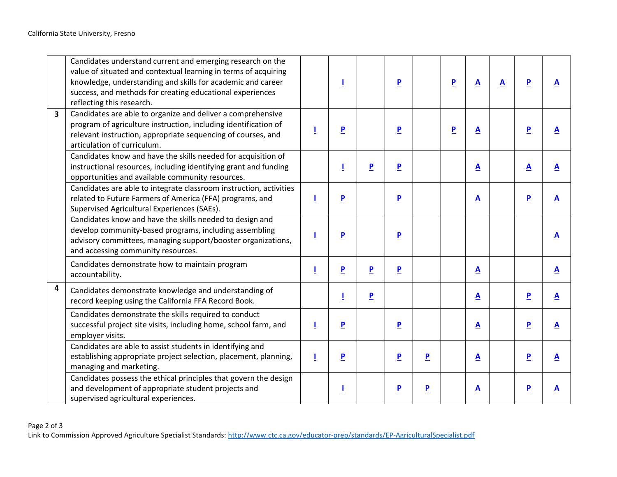|                         | Candidates understand current and emerging research on the<br>value of situated and contextual learning in terms of acquiring<br>knowledge, understanding and skills for academic and career<br>success, and methods for creating educational experiences<br>reflecting this research. |   |                         |                         | P                       |                         | $\overline{P}$ | $\overline{\mathbf{A}}$  | $\overline{\mathbf{A}}$ | $\overline{\mathbf{P}}$ | $\mathbf{A}$            |
|-------------------------|----------------------------------------------------------------------------------------------------------------------------------------------------------------------------------------------------------------------------------------------------------------------------------------|---|-------------------------|-------------------------|-------------------------|-------------------------|----------------|--------------------------|-------------------------|-------------------------|-------------------------|
| $\overline{\mathbf{3}}$ | Candidates are able to organize and deliver a comprehensive<br>program of agriculture instruction, including identification of<br>relevant instruction, appropriate sequencing of courses, and<br>articulation of curriculum.                                                          | Ţ | $\overline{\mathbf{P}}$ |                         | $\overline{\mathbf{P}}$ |                         | $\overline{P}$ | A                        |                         | $\overline{\mathbf{P}}$ | $\triangle$             |
|                         | Candidates know and have the skills needed for acquisition of<br>instructional resources, including identifying grant and funding<br>opportunities and available community resources.                                                                                                  |   |                         | $\overline{\mathbf{P}}$ | $\overline{\mathbf{P}}$ |                         |                | <u>A</u>                 |                         | $\overline{\mathbf{A}}$ | $\overline{\mathbf{A}}$ |
|                         | Candidates are able to integrate classroom instruction, activities<br>related to Future Farmers of America (FFA) programs, and<br>Supervised Agricultural Experiences (SAEs).                                                                                                          | Ţ | $\overline{\mathbf{P}}$ |                         | $\overline{\mathbf{P}}$ |                         |                | $\triangle$              |                         | $\overline{P}$          | $\mathbf{A}$            |
|                         | Candidates know and have the skills needed to design and<br>develop community-based programs, including assembling<br>advisory committees, managing support/booster organizations,<br>and accessing community resources.                                                               |   | $\overline{P}$          |                         | $\overline{P}$          |                         |                |                          |                         |                         | $\mathbf{A}$            |
|                         | Candidates demonstrate how to maintain program<br>accountability.                                                                                                                                                                                                                      | L | $\overline{\mathbf{P}}$ | $\overline{\mathbf{P}}$ | $\overline{\mathbf{P}}$ |                         |                | $\underline{\mathbf{A}}$ |                         |                         | $\triangle$             |
| 4                       | Candidates demonstrate knowledge and understanding of<br>record keeping using the California FFA Record Book.                                                                                                                                                                          |   |                         | $\overline{\mathbf{P}}$ |                         |                         |                | $\triangle$              |                         | $\overline{P}$          | $\triangle$             |
|                         | Candidates demonstrate the skills required to conduct<br>successful project site visits, including home, school farm, and<br>employer visits.                                                                                                                                          | T | $\overline{P}$          |                         | $\overline{\mathbf{P}}$ |                         |                | A                        |                         | $\overline{P}$          | $\mathbf{A}$            |
|                         | Candidates are able to assist students in identifying and<br>establishing appropriate project selection, placement, planning,<br>managing and marketing.                                                                                                                               | L | $\overline{\mathbf{P}}$ |                         | $\overline{P}$          | $\overline{P}$          |                | $\triangle$              |                         | $\overline{P}$          | $\mathbf{A}$            |
|                         | Candidates possess the ethical principles that govern the design<br>and development of appropriate student projects and<br>supervised agricultural experiences.                                                                                                                        |   |                         |                         | $\overline{\mathbf{P}}$ | $\overline{\mathbf{P}}$ |                | A                        |                         | $\overline{\mathbf{P}}$ | $\triangle$             |